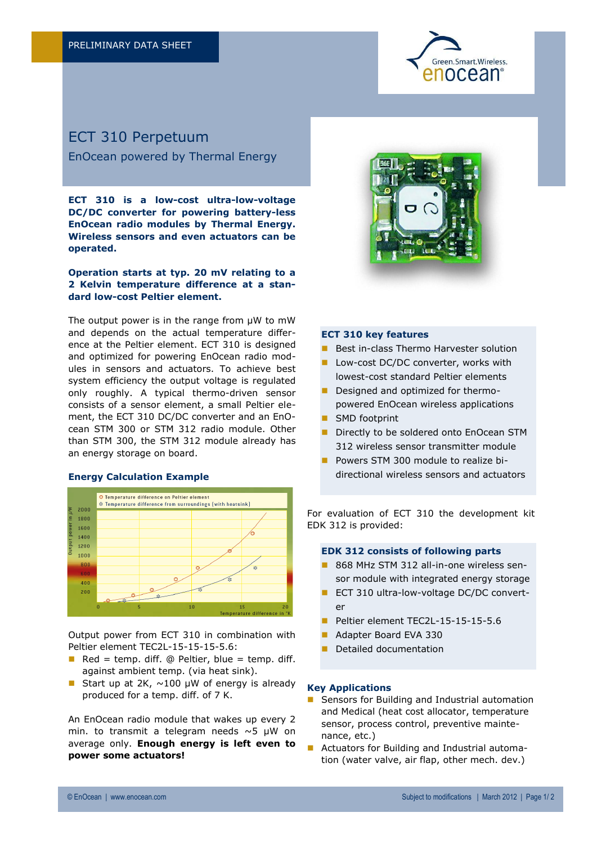

# ECT 310 Perpetuum

EnOcean powered by Thermal Energy

**ECT 310 is a low-cost ultra-low-voltage DC/DC converter for powering battery-less EnOcean radio modules by Thermal Energy. Wireless sensors and even actuators can be operated.**

# **Operation starts at typ. 20 mV relating to a 2 Kelvin temperature difference at a standard low-cost Peltier element.**

The output power is in the range from  $\mu$ W to mW and depends on the actual temperature difference at the Peltier element. ECT 310 is designed and optimized for powering EnOcean radio modules in sensors and actuators. To achieve best system efficiency the output voltage is regulated only roughly. A typical thermo-driven sensor consists of a sensor element, a small Peltier element, the ECT 310 DC/DC converter and an EnOcean STM 300 or STM 312 radio module. Other than STM 300, the STM 312 module already has an energy storage on board.

# **Energy Calculation Example**



Output power from ECT 310 in combination with Peltier element TEC2L-15-15-15-5.6:

- Red = temp. diff.  $\omega$  Peltier, blue = temp. diff. against ambient temp. (via heat sink).
- Start up at 2K,  $\sim$ 100 µW of energy is already produced for a temp. diff. of 7 K.

An EnOcean radio module that wakes up every 2 min. to transmit a telegram needs ~5 μW on average only. **Enough energy is left even to power some actuators!**



#### **ECT 310 key features**

- Best in-class Thermo Harvester solution
- Low-cost DC/DC converter, works with lowest-cost standard Peltier elements
- Designed and optimized for thermopowered EnOcean wireless applications
- SMD footprint
- Directly to be soldered onto EnOcean STM 312 wireless sensor transmitter module
- Powers STM 300 module to realize bidirectional wireless sensors and actuators

For evaluation of ECT 310 the development kit EDK 312 is provided:

#### **EDK 312 consists of following parts**

- 868 MHz STM 312 all-in-one wireless sensor module with integrated energy storage
- ECT 310 ultra-low-voltage DC/DC converter
- Peltier element TEC2L-15-15-15-5.6
- Adapter Board EVA 330
- **Detailed documentation**

#### **Key Applications**

- Sensors for Building and Industrial automation and Medical (heat cost allocator, temperature sensor, process control, preventive maintenance, etc.)
- Actuators for Building and Industrial automation (water valve, air flap, other mech. dev.)